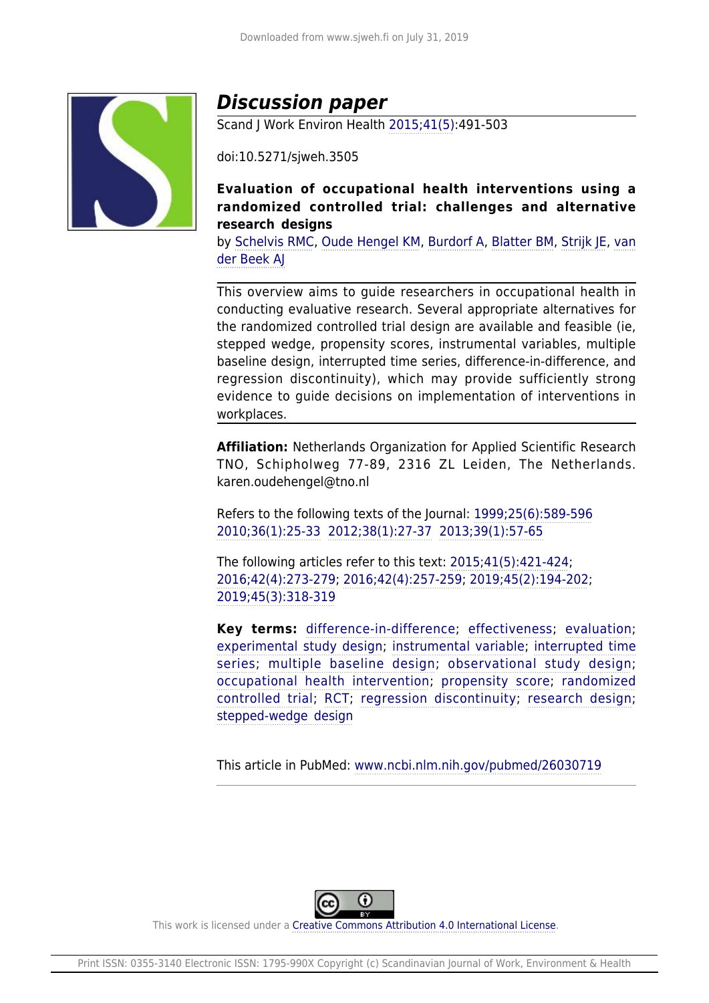

# *Discussion paper*

Scand J Work Environ Health [2015;41\(5\):](http://www.sjweh.fi/show_issue.php?issue_id=313)491-503

doi:10.5271/sjweh.3505

**Evaluation of occupational health interventions using a randomized controlled trial: challenges and alternative research designs**

by [Schelvis RMC,](http://www.sjweh.fi/index.php?page=list-articles&author_id=7997) [Oude Hengel KM](http://www.sjweh.fi/index.php?page=list-articles&author_id=7272), [Burdorf A,](http://www.sjweh.fi/index.php?page=list-articles&author_id=7) [Blatter BM](http://www.sjweh.fi/index.php?page=list-articles&author_id=551), [Strijk JE,](http://www.sjweh.fi/index.php?page=list-articles&author_id=6966) [van](http://www.sjweh.fi/index.php?page=list-articles&author_id=107) [der Beek AJ](http://www.sjweh.fi/index.php?page=list-articles&author_id=107)

This overview aims to guide researchers in occupational health in conducting evaluative research. Several appropriate alternatives for the randomized controlled trial design are available and feasible (ie, stepped wedge, propensity scores, instrumental variables, multiple baseline design, interrupted time series, difference-in-difference, and regression discontinuity), which may provide sufficiently strong evidence to guide decisions on implementation of interventions in workplaces.

**Affiliation:** Netherlands Organization for Applied Scientific Research TNO, Schipholweg 77-89, 2316 ZL Leiden, The Netherlands. karen.oudehengel@tno.nl

Refers to the following texts of the Journal: [1999;25\(6\):589-596](http://www.sjweh.fi/show_abstract.php?abstract_id=485) [2010;36\(1\):25-33](http://www.sjweh.fi/show_abstract.php?abstract_id=2880) [2012;38\(1\):27-37](http://www.sjweh.fi/show_abstract.php?abstract_id=3169) [2013;39\(1\):57-65](http://www.sjweh.fi/show_abstract.php?abstract_id=3298)

The following articles refer to this text: [2015;41\(5\):421-424;](http://www.sjweh.fi/show_abstract.php?abstract_id=3516) [2016;42\(4\):273-279;](http://www.sjweh.fi/show_abstract.php?abstract_id=3562) [2016;42\(4\):257-259](http://www.sjweh.fi/show_abstract.php?abstract_id=3577); [2019;45\(2\):194-202](http://www.sjweh.fi/show_abstract.php?abstract_id=3790); [2019;45\(3\):318-319](http://www.sjweh.fi/show_abstract.php?abstract_id=3821)

**Key terms:** [difference-in-difference;](http://www.sjweh.fi/index.php?page=list-articles&keyword_id=8136) [effectiveness](http://www.sjweh.fi/index.php?page=list-articles&keyword_id=1802); [evaluation;](http://www.sjweh.fi/index.php?page=list-articles&keyword_id=1403) [experimental study design;](http://www.sjweh.fi/index.php?page=list-articles&keyword_id=8138) [instrumental variable;](http://www.sjweh.fi/index.php?page=list-articles&keyword_id=8137) [interrupted time](http://www.sjweh.fi/index.php?page=list-articles&keyword_id=8135) [series;](http://www.sjweh.fi/index.php?page=list-articles&keyword_id=8135) [multiple baseline design;](http://www.sjweh.fi/index.php?page=list-articles&keyword_id=8134) [observational study design;](http://www.sjweh.fi/index.php?page=list-articles&keyword_id=8133) [occupational health intervention;](http://www.sjweh.fi/index.php?page=list-articles&keyword_id=2185) [propensity score](http://www.sjweh.fi/index.php?page=list-articles&keyword_id=7161); [randomized](http://www.sjweh.fi/index.php?page=list-articles&keyword_id=1584) [controlled trial](http://www.sjweh.fi/index.php?page=list-articles&keyword_id=1584); [RCT;](http://www.sjweh.fi/index.php?page=list-articles&keyword_id=5019) [regression discontinuity;](http://www.sjweh.fi/index.php?page=list-articles&keyword_id=8132) [research design;](http://www.sjweh.fi/index.php?page=list-articles&keyword_id=8139) [stepped-wedge design](http://www.sjweh.fi/index.php?page=list-articles&keyword_id=8131)

This article in PubMed: [www.ncbi.nlm.nih.gov/pubmed/26030719](http://www.ncbi.nlm.nih.gov/pubmed/26030719)



This work is licensed under a [Creative Commons Attribution 4.0 International License.](http://creativecommons.org/licenses/by/4.0/)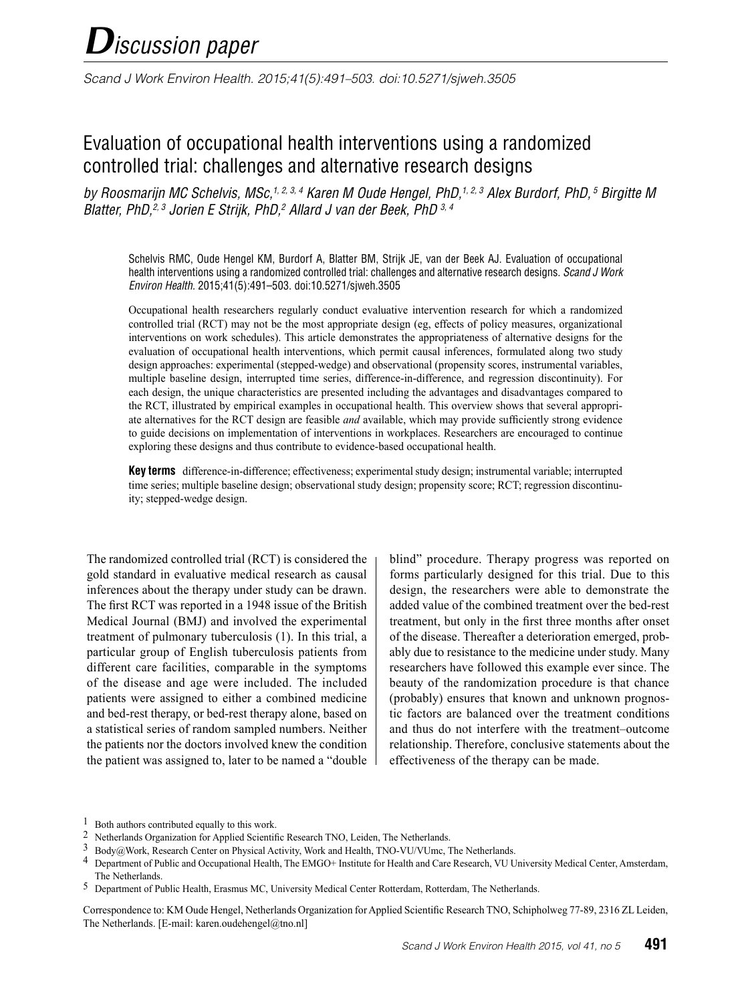# *Discussion paper*

*Scand J Work Environ Health. 2015;41(5):491–503. doi:10.5271/sjweh.3505*

# Evaluation of occupational health interventions using a randomized controlled trial: challenges and alternative research designs

*by Roosmarijn MC Schelvis, MSc,1, 2, 3, 4 Karen M Oude Hengel, PhD,1, 2, 3 Alex Burdorf, PhD, 5 Birgitte M Blatter, PhD,2, 3 Jorien E Strijk, PhD,2 Allard J van der Beek, PhD 3, 4*

Schelvis RMC, Oude Hengel KM, Burdorf A, Blatter BM, Strijk JE, van der Beek AJ. Evaluation of occupational health interventions using a randomized controlled trial: challenges and alternative research designs. *Scand J Work Environ Health.* 2015;41(5):491–503. doi:10.5271/sjweh.3505

Occupational health researchers regularly conduct evaluative intervention research for which a randomized controlled trial (RCT) may not be the most appropriate design (eg, effects of policy measures, organizational interventions on work schedules). This article demonstrates the appropriateness of alternative designs for the evaluation of occupational health interventions, which permit causal inferences, formulated along two study design approaches: experimental (stepped-wedge) and observational (propensity scores, instrumental variables, multiple baseline design, interrupted time series, difference-in-difference, and regression discontinuity). For each design, the unique characteristics are presented including the advantages and disadvantages compared to the RCT, illustrated by empirical examples in occupational health. This overview shows that several appropriate alternatives for the RCT design are feasible *and* available, which may provide sufficiently strong evidence to guide decisions on implementation of interventions in workplaces. Researchers are encouraged to continue exploring these designs and thus contribute to evidence-based occupational health.

**Key terms** difference-in-difference; effectiveness; experimental study design; instrumental variable; interrupted time series; multiple baseline design; observational study design; propensity score; RCT; regression discontinuity; stepped-wedge design.

The randomized controlled trial (RCT) is considered the gold standard in evaluative medical research as causal inferences about the therapy under study can be drawn. The first RCT was reported in a 1948 issue of the British Medical Journal (BMJ) and involved the experimental treatment of pulmonary tuberculosis (1). In this trial, a particular group of English tuberculosis patients from different care facilities, comparable in the symptoms of the disease and age were included. The included patients were assigned to either a combined medicine and bed-rest therapy, or bed-rest therapy alone, based on a statistical series of random sampled numbers. Neither the patients nor the doctors involved knew the condition the patient was assigned to, later to be named a "double blind" procedure. Therapy progress was reported on forms particularly designed for this trial. Due to this design, the researchers were able to demonstrate the added value of the combined treatment over the bed-rest treatment, but only in the first three months after onset of the disease. Thereafter a deterioration emerged, probably due to resistance to the medicine under study. Many researchers have followed this example ever since. The beauty of the randomization procedure is that chance (probably) ensures that known and unknown prognostic factors are balanced over the treatment conditions and thus do not interfere with the treatment–outcome relationship. Therefore, conclusive statements about the effectiveness of the therapy can be made.

Correspondence to: KM Oude Hengel, Netherlands Organization for Applied Scientific Research TNO, Schipholweg 77-89, 2316 ZL Leiden, The Netherlands. [E-mail: karen.oudehengel@tno.nl]

 $1$  Both authors contributed equally to this work.

<sup>2</sup> Netherlands Organization for Applied Scientific Research TNO, Leiden, The Netherlands.<br>  $\frac{3 \text{ Rodw@Work}$  Research Center on Physical Activity. Work and Health TNO-VU/VU lmc.

<sup>3</sup> Body@Work, Research Center on Physical Activity, Work and Health, TNO-VU/VUmc, The Netherlands.

<sup>4</sup> Department of Public and Occupational Health, The EMGO+ Institute for Health and Care Research, VU University Medical Center, Amsterdam, The Netherlands.

<sup>5</sup> Department of Public Health, Erasmus MC, University Medical Center Rotterdam, Rotterdam, The Netherlands.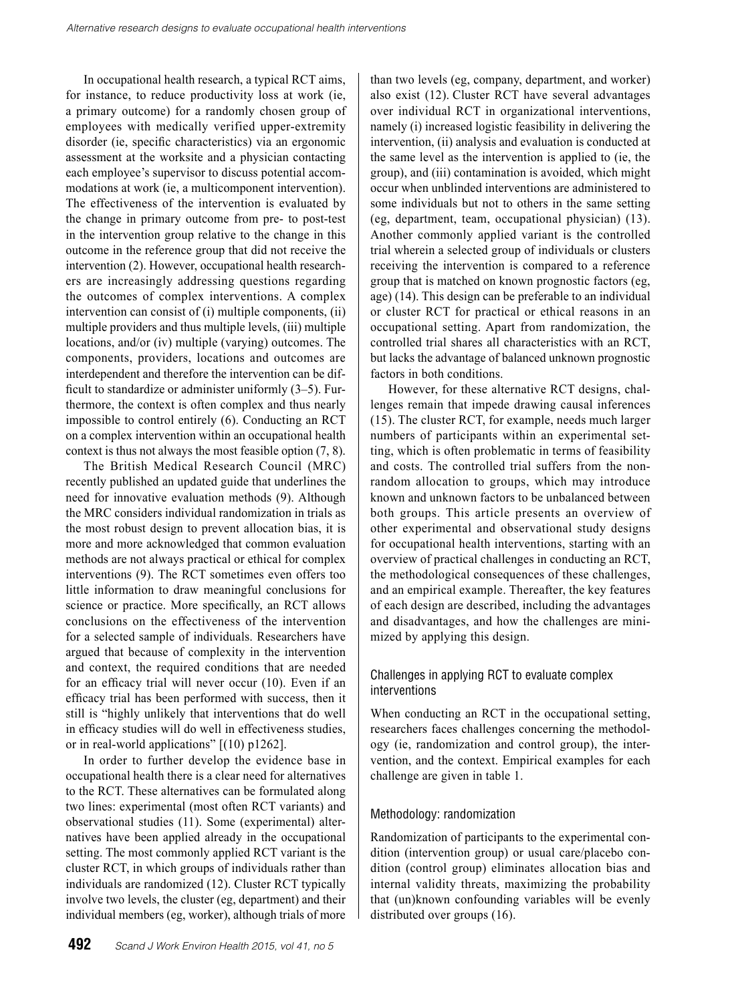In occupational health research, a typical RCT aims, for instance, to reduce productivity loss at work (ie, a primary outcome) for a randomly chosen group of employees with medically verified upper-extremity disorder (ie, specific characteristics) via an ergonomic assessment at the worksite and a physician contacting each employee's supervisor to discuss potential accommodations at work (ie, a multicomponent intervention). The effectiveness of the intervention is evaluated by the change in primary outcome from pre- to post-test in the intervention group relative to the change in this outcome in the reference group that did not receive the intervention (2). However, occupational health researchers are increasingly addressing questions regarding the outcomes of complex interventions. A complex intervention can consist of (i) multiple components, (ii) multiple providers and thus multiple levels, (iii) multiple locations, and/or (iv) multiple (varying) outcomes. The components, providers, locations and outcomes are interdependent and therefore the intervention can be difficult to standardize or administer uniformly (3–5). Furthermore, the context is often complex and thus nearly impossible to control entirely (6). Conducting an RCT on a complex intervention within an occupational health context is thus not always the most feasible option (7, 8).

The British Medical Research Council (MRC) recently published an updated guide that underlines the need for innovative evaluation methods (9). Although the MRC considers individual randomization in trials as the most robust design to prevent allocation bias, it is more and more acknowledged that common evaluation methods are not always practical or ethical for complex interventions (9). The RCT sometimes even offers too little information to draw meaningful conclusions for science or practice. More specifically, an RCT allows conclusions on the effectiveness of the intervention for a selected sample of individuals. Researchers have argued that because of complexity in the intervention and context, the required conditions that are needed for an efficacy trial will never occur (10). Even if an efficacy trial has been performed with success, then it still is "highly unlikely that interventions that do well in efficacy studies will do well in effectiveness studies, or in real-world applications" [(10) p1262].

In order to further develop the evidence base in occupational health there is a clear need for alternatives to the RCT. These alternatives can be formulated along two lines: experimental (most often RCT variants) and observational studies (11). Some (experimental) alternatives have been applied already in the occupational setting. The most commonly applied RCT variant is the cluster RCT, in which groups of individuals rather than individuals are randomized (12). Cluster RCT typically involve two levels, the cluster (eg, department) and their individual members (eg, worker), although trials of more

than two levels (eg, company, department, and worker) also exist (12). Cluster RCT have several advantages over individual RCT in organizational interventions, namely (i) increased logistic feasibility in delivering the intervention, (ii) analysis and evaluation is conducted at the same level as the intervention is applied to (ie, the group), and (iii) contamination is avoided, which might occur when unblinded interventions are administered to some individuals but not to others in the same setting (eg, department, team, occupational physician) (13). Another commonly applied variant is the controlled trial wherein a selected group of individuals or clusters receiving the intervention is compared to a reference group that is matched on known prognostic factors (eg, age) (14). This design can be preferable to an individual or cluster RCT for practical or ethical reasons in an occupational setting. Apart from randomization, the controlled trial shares all characteristics with an RCT, but lacks the advantage of balanced unknown prognostic factors in both conditions.

However, for these alternative RCT designs, challenges remain that impede drawing causal inferences (15). The cluster RCT, for example, needs much larger numbers of participants within an experimental setting, which is often problematic in terms of feasibility and costs. The controlled trial suffers from the nonrandom allocation to groups, which may introduce known and unknown factors to be unbalanced between both groups. This article presents an overview of other experimental and observational study designs for occupational health interventions, starting with an overview of practical challenges in conducting an RCT, the methodological consequences of these challenges, and an empirical example. Thereafter, the key features of each design are described, including the advantages and disadvantages, and how the challenges are minimized by applying this design.

# Challenges in applying RCT to evaluate complex interventions

When conducting an RCT in the occupational setting, researchers faces challenges concerning the methodology (ie, randomization and control group), the intervention, and the context. Empirical examples for each challenge are given in table 1.

# Methodology: randomization

Randomization of participants to the experimental condition (intervention group) or usual care/placebo condition (control group) eliminates allocation bias and internal validity threats, maximizing the probability that (un)known confounding variables will be evenly distributed over groups (16).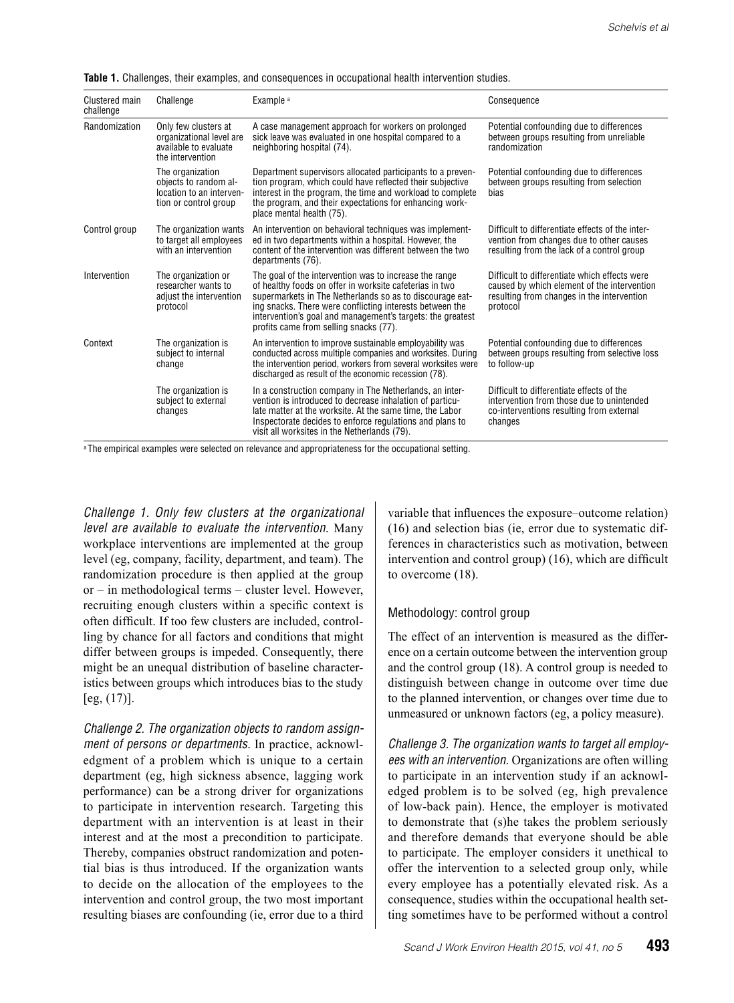|  |  |  | <b>Table 1.</b> Challenges, their examples, and consequences in occupational health intervention studies. |  |  |  |
|--|--|--|-----------------------------------------------------------------------------------------------------------|--|--|--|
|--|--|--|-----------------------------------------------------------------------------------------------------------|--|--|--|

| Clustered main<br>challenge | Challenge                                                                                      | Example <sup>a</sup>                                                                                                                                                                                                                                                                                                                              | Consequence                                                                                                                                            |
|-----------------------------|------------------------------------------------------------------------------------------------|---------------------------------------------------------------------------------------------------------------------------------------------------------------------------------------------------------------------------------------------------------------------------------------------------------------------------------------------------|--------------------------------------------------------------------------------------------------------------------------------------------------------|
| Randomization               | Only few clusters at<br>organizational level are<br>available to evaluate<br>the intervention  | A case management approach for workers on prolonged<br>sick leave was evaluated in one hospital compared to a<br>neighboring hospital (74).                                                                                                                                                                                                       | Potential confounding due to differences<br>between groups resulting from unreliable<br>randomization                                                  |
|                             | The organization<br>objects to random al-<br>location to an interven-<br>tion or control group | Department supervisors allocated participants to a preven-<br>tion program, which could have reflected their subjective<br>interest in the program, the time and workload to complete<br>the program, and their expectations for enhancing work-<br>place mental health (75).                                                                     | Potential confounding due to differences<br>between groups resulting from selection<br>bias                                                            |
| Control group               | The organization wants<br>to target all employees<br>with an intervention                      | An intervention on behavioral techniques was implement-<br>ed in two departments within a hospital. However, the<br>content of the intervention was different between the two<br>departments (76).                                                                                                                                                | Difficult to differentiate effects of the inter-<br>vention from changes due to other causes<br>resulting from the lack of a control group             |
| Intervention                | The organization or<br>researcher wants to<br>adjust the intervention<br>protocol              | The goal of the intervention was to increase the range<br>of healthy foods on offer in worksite cafeterias in two<br>supermarkets in The Netherlands so as to discourage eat-<br>ing snacks. There were conflicting interests between the<br>intervention's goal and management's targets: the greatest<br>profits came from selling snacks (77). | Difficult to differentiate which effects were<br>caused by which element of the intervention<br>resulting from changes in the intervention<br>protocol |
| Context                     | The organization is<br>subject to internal<br>change                                           | An intervention to improve sustainable employability was<br>conducted across multiple companies and worksites. During<br>the intervention period, workers from several worksites were<br>discharged as result of the economic recession (78).                                                                                                     | Potential confounding due to differences<br>between groups resulting from selective loss<br>to follow-up                                               |
|                             | The organization is<br>subject to external<br>changes                                          | In a construction company in The Netherlands, an inter-<br>vention is introduced to decrease inhalation of particu-<br>late matter at the worksite. At the same time, the Labor<br>Inspectorate decides to enforce regulations and plans to<br>visit all worksites in the Netherlands (79).                                                       | Difficult to differentiate effects of the<br>intervention from those due to unintended<br>co-interventions resulting from external<br>changes          |

<sup>a</sup> The empirical examples were selected on relevance and appropriateness for the occupational setting.

*Challenge 1. Only few clusters at the organizational level are available to evaluate the intervention.* Many workplace interventions are implemented at the group level (eg, company, facility, department, and team). The randomization procedure is then applied at the group or – in methodological terms – cluster level. However, recruiting enough clusters within a specific context is often difficult. If too few clusters are included, controlling by chance for all factors and conditions that might differ between groups is impeded. Consequently, there might be an unequal distribution of baseline characteristics between groups which introduces bias to the study  $[eg, (17)]$ .

*Challenge 2. The organization objects to random assignment of persons or departments.* In practice, acknowledgment of a problem which is unique to a certain department (eg, high sickness absence, lagging work performance) can be a strong driver for organizations to participate in intervention research. Targeting this department with an intervention is at least in their interest and at the most a precondition to participate. Thereby, companies obstruct randomization and potential bias is thus introduced. If the organization wants to decide on the allocation of the employees to the intervention and control group, the two most important resulting biases are confounding (ie, error due to a third

variable that influences the exposure–outcome relation) (16) and selection bias (ie, error due to systematic differences in characteristics such as motivation, between intervention and control group) (16), which are difficult to overcome (18).

#### Methodology: control group

The effect of an intervention is measured as the difference on a certain outcome between the intervention group and the control group (18). A control group is needed to distinguish between change in outcome over time due to the planned intervention, or changes over time due to unmeasured or unknown factors (eg, a policy measure).

*Challenge 3. The organization wants to target all employees with an intervention.* Organizations are often willing to participate in an intervention study if an acknowledged problem is to be solved (eg, high prevalence of low-back pain). Hence, the employer is motivated to demonstrate that (s)he takes the problem seriously and therefore demands that everyone should be able to participate. The employer considers it unethical to offer the intervention to a selected group only, while every employee has a potentially elevated risk. As a consequence, studies within the occupational health setting sometimes have to be performed without a control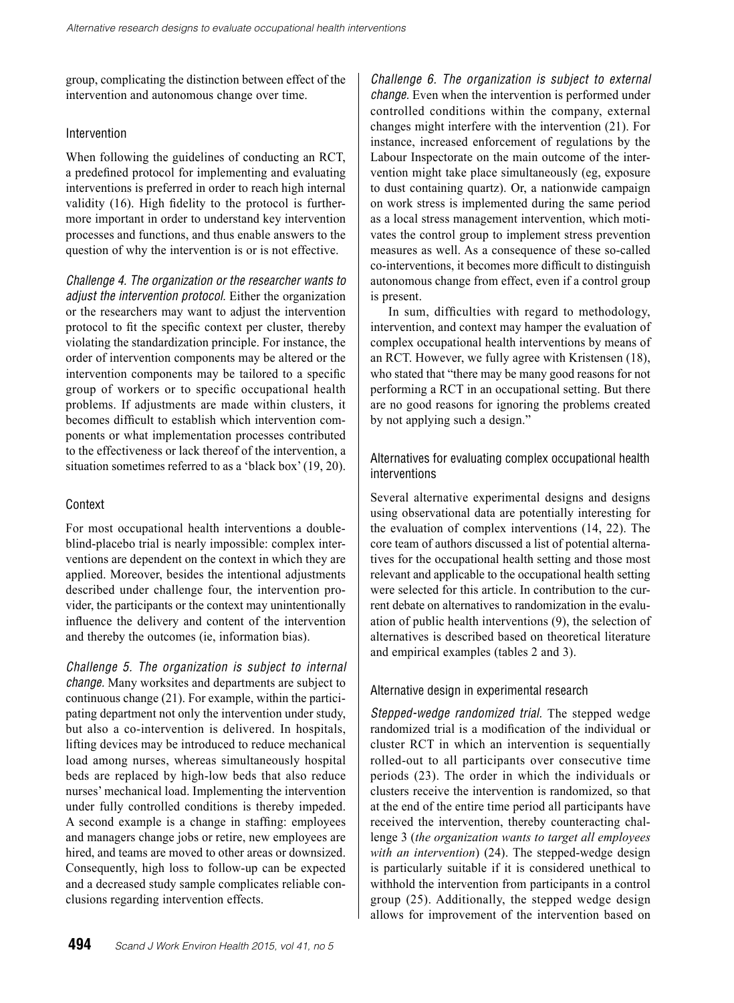group, complicating the distinction between effect of the intervention and autonomous change over time.

#### Intervention

When following the guidelines of conducting an RCT, a predefined protocol for implementing and evaluating interventions is preferred in order to reach high internal validity (16). High fidelity to the protocol is furthermore important in order to understand key intervention processes and functions, and thus enable answers to the question of why the intervention is or is not effective.

*Challenge 4. The organization or the researcher wants to adjust the intervention protocol.* Either the organization or the researchers may want to adjust the intervention protocol to fit the specific context per cluster, thereby violating the standardization principle. For instance, the order of intervention components may be altered or the intervention components may be tailored to a specific group of workers or to specific occupational health problems. If adjustments are made within clusters, it becomes difficult to establish which intervention components or what implementation processes contributed to the effectiveness or lack thereof of the intervention, a situation sometimes referred to as a 'black box' (19, 20).

## **Context**

For most occupational health interventions a doubleblind-placebo trial is nearly impossible: complex interventions are dependent on the context in which they are applied. Moreover, besides the intentional adjustments described under challenge four, the intervention provider, the participants or the context may unintentionally influence the delivery and content of the intervention and thereby the outcomes (ie, information bias).

*Challenge 5. The organization is subject to internal change.* Many worksites and departments are subject to continuous change (21). For example, within the participating department not only the intervention under study, but also a co-intervention is delivered. In hospitals, lifting devices may be introduced to reduce mechanical load among nurses, whereas simultaneously hospital beds are replaced by high-low beds that also reduce nurses' mechanical load. Implementing the intervention under fully controlled conditions is thereby impeded. A second example is a change in staffing: employees and managers change jobs or retire, new employees are hired, and teams are moved to other areas or downsized. Consequently, high loss to follow-up can be expected and a decreased study sample complicates reliable conclusions regarding intervention effects.

*Challenge 6. The organization is subject to external change.* Even when the intervention is performed under controlled conditions within the company, external changes might interfere with the intervention (21). For instance, increased enforcement of regulations by the Labour Inspectorate on the main outcome of the intervention might take place simultaneously (eg, exposure to dust containing quartz). Or, a nationwide campaign on work stress is implemented during the same period as a local stress management intervention, which motivates the control group to implement stress prevention measures as well. As a consequence of these so-called co-interventions, it becomes more difficult to distinguish autonomous change from effect, even if a control group is present.

In sum, difficulties with regard to methodology, intervention, and context may hamper the evaluation of complex occupational health interventions by means of an RCT. However, we fully agree with Kristensen (18), who stated that "there may be many good reasons for not performing a RCT in an occupational setting. But there are no good reasons for ignoring the problems created by not applying such a design."

# Alternatives for evaluating complex occupational health interventions

Several alternative experimental designs and designs using observational data are potentially interesting for the evaluation of complex interventions (14, 22). The core team of authors discussed a list of potential alternatives for the occupational health setting and those most relevant and applicable to the occupational health setting were selected for this article. In contribution to the current debate on alternatives to randomization in the evaluation of public health interventions (9), the selection of alternatives is described based on theoretical literature and empirical examples (tables 2 and 3).

#### Alternative design in experimental research

*Stepped-wedge randomized trial.* The stepped wedge randomized trial is a modification of the individual or cluster RCT in which an intervention is sequentially rolled-out to all participants over consecutive time periods (23). The order in which the individuals or clusters receive the intervention is randomized, so that at the end of the entire time period all participants have received the intervention, thereby counteracting challenge 3 (*the organization wants to target all employees with an intervention*) (24). The stepped-wedge design is particularly suitable if it is considered unethical to withhold the intervention from participants in a control group (25). Additionally, the stepped wedge design allows for improvement of the intervention based on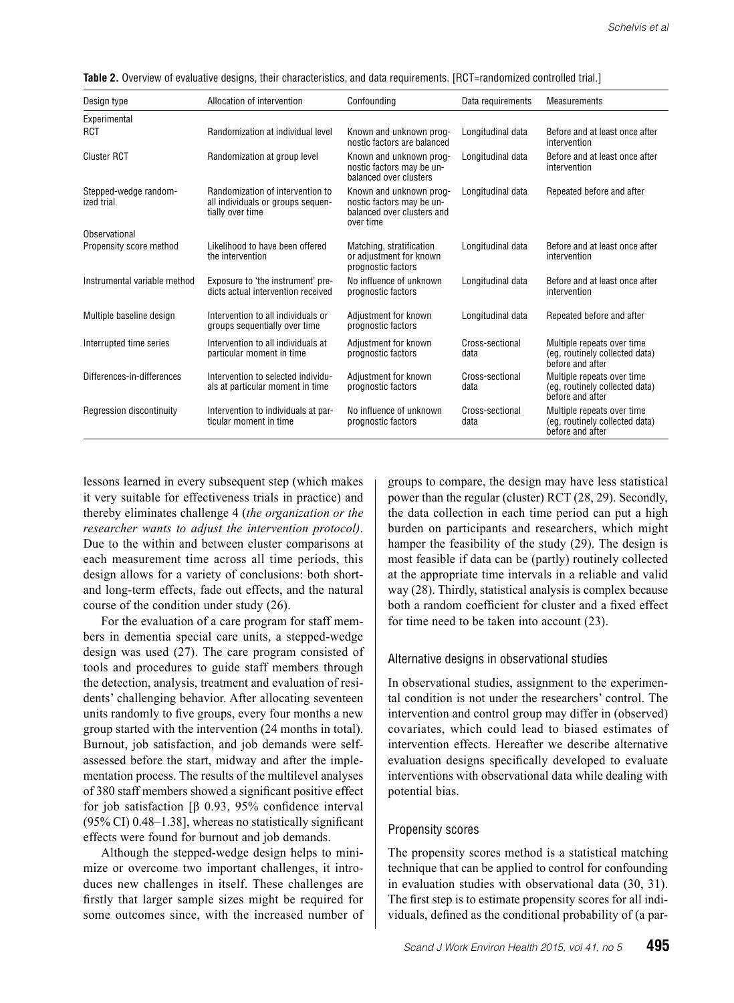| Design type                         | Allocation of intervention                                                                | Confounding                                                                                     | Data requirements       | Measurements                                                                     |
|-------------------------------------|-------------------------------------------------------------------------------------------|-------------------------------------------------------------------------------------------------|-------------------------|----------------------------------------------------------------------------------|
| Experimental                        |                                                                                           |                                                                                                 |                         |                                                                                  |
| RCT                                 | Randomization at individual level                                                         | Known and unknown prog-<br>nostic factors are balanced                                          | Longitudinal data       | Before and at least once after<br>intervention                                   |
| <b>Cluster RCT</b>                  | Randomization at group level                                                              | Known and unknown prog-<br>nostic factors may be un-<br>balanced over clusters                  | Longitudinal data       | Before and at least once after<br>intervention                                   |
| Stepped-wedge random-<br>ized trial | Randomization of intervention to<br>all individuals or groups sequen-<br>tially over time | Known and unknown prog-<br>nostic factors may be un-<br>balanced over clusters and<br>over time | Longitudinal data       | Repeated before and after                                                        |
| Observational                       |                                                                                           |                                                                                                 |                         |                                                                                  |
| Propensity score method             | Likelihood to have been offered<br>the intervention                                       | Matching, stratification<br>or adjustment for known<br>prognostic factors                       | Longitudinal data       | Before and at least once after<br>intervention                                   |
| Instrumental variable method        | Exposure to 'the instrument' pre-<br>dicts actual intervention received                   | No influence of unknown<br>prognostic factors                                                   | Longitudinal data       | Before and at least once after<br>intervention                                   |
| Multiple baseline design            | Intervention to all individuals or<br>groups sequentially over time                       | Adjustment for known<br>prognostic factors                                                      | Longitudinal data       | Repeated before and after                                                        |
| Interrupted time series             | Intervention to all individuals at<br>particular moment in time                           | Adjustment for known<br>prognostic factors                                                      | Cross-sectional<br>data | Multiple repeats over time<br>(eg, routinely collected data)<br>before and after |
| Differences-in-differences          | Intervention to selected individu-<br>als at particular moment in time                    | Adjustment for known<br>prognostic factors                                                      | Cross-sectional<br>data | Multiple repeats over time<br>(eg, routinely collected data)<br>before and after |
| Regression discontinuity            | Intervention to individuals at par-<br>ticular moment in time                             | No influence of unknown<br>prognostic factors                                                   | Cross-sectional<br>data | Multiple repeats over time<br>(eg, routinely collected data)<br>before and after |

Table 2. Overview of evaluative designs, their characteristics, and data requirements. [RCT=randomized controlled trial.]

lessons learned in every subsequent step (which makes it very suitable for effectiveness trials in practice) and thereby eliminates challenge 4 (*the organization or the researcher wants to adjust the intervention protocol)*. Due to the within and between cluster comparisons at each measurement time across all time periods, this design allows for a variety of conclusions: both shortand long-term effects, fade out effects, and the natural course of the condition under study (26).

For the evaluation of a care program for staff members in dementia special care units, a stepped-wedge design was used (27). The care program consisted of tools and procedures to guide staff members through the detection, analysis, treatment and evaluation of residents' challenging behavior. After allocating seventeen units randomly to five groups, every four months a new group started with the intervention (24 months in total). Burnout, job satisfaction, and job demands were selfassessed before the start, midway and after the implementation process. The results of the multilevel analyses of 380 staff members showed a significant positive effect for job satisfaction [β 0.93, 95% confidence interval (95% CI) 0.48–1.38], whereas no statistically significant effects were found for burnout and job demands.

Although the stepped-wedge design helps to minimize or overcome two important challenges, it introduces new challenges in itself. These challenges are firstly that larger sample sizes might be required for some outcomes since, with the increased number of groups to compare, the design may have less statistical power than the regular (cluster) RCT (28, 29). Secondly, the data collection in each time period can put a high burden on participants and researchers, which might hamper the feasibility of the study (29). The design is most feasible if data can be (partly) routinely collected at the appropriate time intervals in a reliable and valid way (28). Thirdly, statistical analysis is complex because both a random coefficient for cluster and a fixed effect for time need to be taken into account (23).

#### Alternative designs in observational studies

In observational studies, assignment to the experimental condition is not under the researchers' control. The intervention and control group may differ in (observed) covariates, which could lead to biased estimates of intervention effects. Hereafter we describe alternative evaluation designs specifically developed to evaluate interventions with observational data while dealing with potential bias.

#### Propensity scores

The propensity scores method is a statistical matching technique that can be applied to control for confounding in evaluation studies with observational data (30, 31). The first step is to estimate propensity scores for all individuals, defined as the conditional probability of (a par-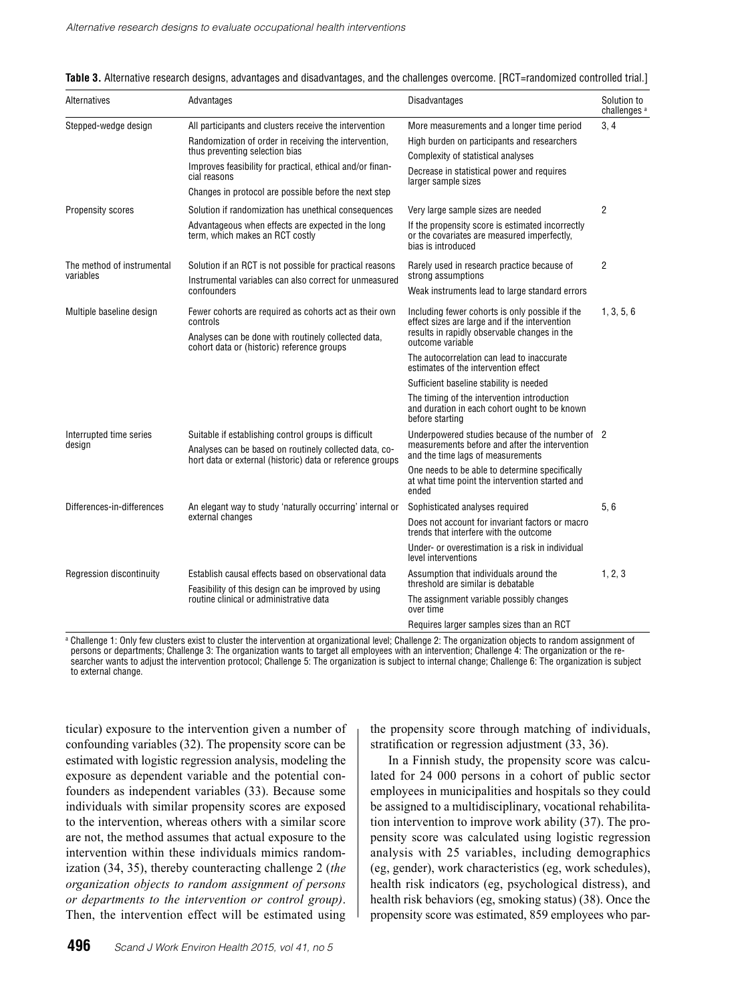| Alternatives                            | Advantages                                                                                                                                                                                                                                                                              | Disadvantages                                                                                                                                                                                                                                                                                                                                                                                                             | Solution to<br>challenges <sup>®</sup> |
|-----------------------------------------|-----------------------------------------------------------------------------------------------------------------------------------------------------------------------------------------------------------------------------------------------------------------------------------------|---------------------------------------------------------------------------------------------------------------------------------------------------------------------------------------------------------------------------------------------------------------------------------------------------------------------------------------------------------------------------------------------------------------------------|----------------------------------------|
| Stepped-wedge design                    | All participants and clusters receive the intervention<br>Randomization of order in receiving the intervention,<br>thus preventing selection bias<br>Improves feasibility for practical, ethical and/or finan-<br>cial reasons<br>Changes in protocol are possible before the next step | More measurements and a longer time period<br>High burden on participants and researchers<br>Complexity of statistical analyses<br>Decrease in statistical power and requires<br>larger sample sizes                                                                                                                                                                                                                      | 3, 4                                   |
| <b>Propensity scores</b>                | Solution if randomization has unethical consequences<br>Advantageous when effects are expected in the long<br>term, which makes an RCT costly                                                                                                                                           | Very large sample sizes are needed<br>If the propensity score is estimated incorrectly<br>or the covariates are measured imperfectly,<br>bias is introduced                                                                                                                                                                                                                                                               | $\overline{2}$                         |
| The method of instrumental<br>variables | Solution if an RCT is not possible for practical reasons<br>Instrumental variables can also correct for unmeasured<br>confounders                                                                                                                                                       | Rarely used in research practice because of<br>strong assumptions<br>Weak instruments lead to large standard errors                                                                                                                                                                                                                                                                                                       | $\overline{2}$                         |
| Multiple baseline design                | Fewer cohorts are required as cohorts act as their own<br>controls<br>Analyses can be done with routinely collected data,<br>cohort data or (historic) reference groups                                                                                                                 | Including fewer cohorts is only possible if the<br>effect sizes are large and if the intervention<br>results in rapidly observable changes in the<br>outcome variable<br>The autocorrelation can lead to inaccurate<br>estimates of the intervention effect<br>Sufficient baseline stability is needed<br>The timing of the intervention introduction<br>and duration in each cohort ought to be known<br>before starting | 1, 3, 5, 6                             |
| Interrupted time series<br>design       | Suitable if establishing control groups is difficult<br>Analyses can be based on routinely collected data, co-<br>hort data or external (historic) data or reference groups                                                                                                             | Underpowered studies because of the number of 2<br>measurements before and after the intervention<br>and the time lags of measurements<br>One needs to be able to determine specifically<br>at what time point the intervention started and<br>ended                                                                                                                                                                      |                                        |
| Differences-in-differences              | An elegant way to study 'naturally occurring' internal or<br>external changes                                                                                                                                                                                                           | Sophisticated analyses required<br>Does not account for invariant factors or macro<br>trends that interfere with the outcome<br>Under- or overestimation is a risk in individual<br>level interventions                                                                                                                                                                                                                   | 5.6                                    |
| Regression discontinuity                | Establish causal effects based on observational data<br>Feasibility of this design can be improved by using<br>routine clinical or administrative data                                                                                                                                  | Assumption that individuals around the<br>threshold are similar is debatable<br>The assignment variable possibly changes<br>over time<br>Requires larger samples sizes than an RCT                                                                                                                                                                                                                                        | 1, 2, 3                                |

a Challenge 1: Only few clusters exist to cluster the intervention at organizational level; Challenge 2: The organization objects to random assignment of persons or departments; Challenge 3: The organization wants to target all employees with an intervention; Challenge 4: The organization or the researcher wants to adjust the intervention protocol; Challenge 5: The organization is subject to internal change; Challenge 6: The organization is subject to external change.

ticular) exposure to the intervention given a number of confounding variables (32). The propensity score can be estimated with logistic regression analysis, modeling the exposure as dependent variable and the potential confounders as independent variables (33). Because some individuals with similar propensity scores are exposed to the intervention, whereas others with a similar score are not, the method assumes that actual exposure to the intervention within these individuals mimics randomization (34, 35), thereby counteracting challenge 2 (*the organization objects to random assignment of persons or departments to the intervention or control group)*. Then, the intervention effect will be estimated using

the propensity score through matching of individuals, stratification or regression adjustment (33, 36). In a Finnish study, the propensity score was calcu-

lated for 24 000 persons in a cohort of public sector employees in municipalities and hospitals so they could be assigned to a multidisciplinary, vocational rehabilitation intervention to improve work ability (37). The propensity score was calculated using logistic regression analysis with 25 variables, including demographics (eg, gender), work characteristics (eg, work schedules), health risk indicators (eg, psychological distress), and health risk behaviors (eg, smoking status) (38). Once the propensity score was estimated, 859 employees who par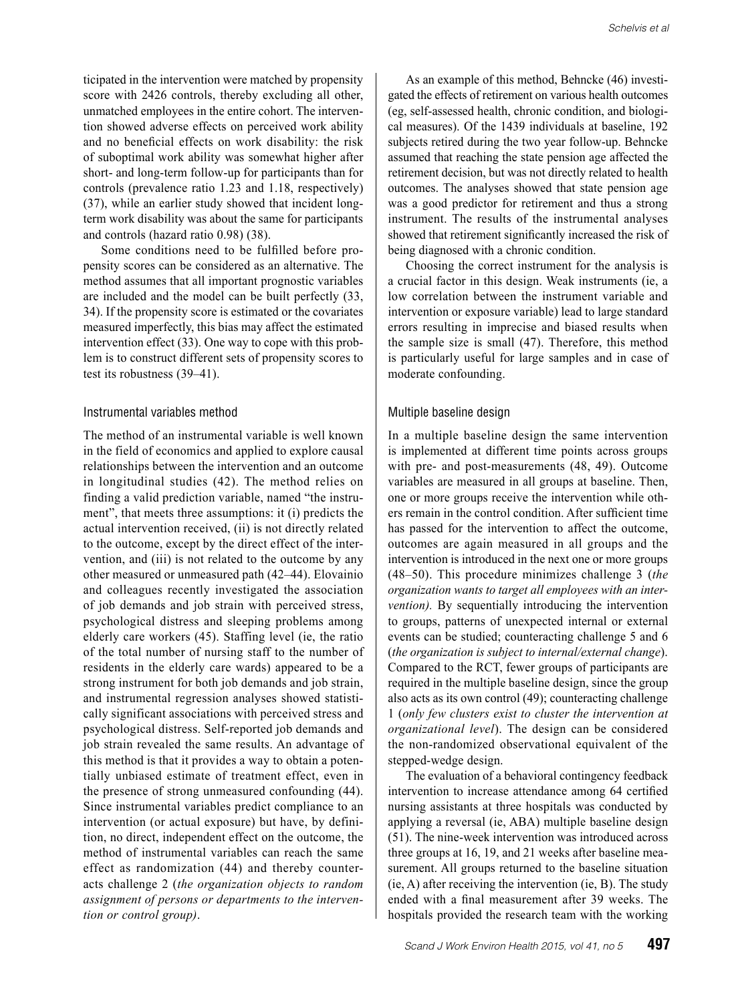ticipated in the intervention were matched by propensity score with 2426 controls, thereby excluding all other, unmatched employees in the entire cohort. The intervention showed adverse effects on perceived work ability and no beneficial effects on work disability: the risk of suboptimal work ability was somewhat higher after short- and long-term follow-up for participants than for controls (prevalence ratio 1.23 and 1.18, respectively) (37), while an earlier study showed that incident longterm work disability was about the same for participants and controls (hazard ratio 0.98) (38).

Some conditions need to be fulfilled before propensity scores can be considered as an alternative. The method assumes that all important prognostic variables are included and the model can be built perfectly (33, 34). If the propensity score is estimated or the covariates measured imperfectly, this bias may affect the estimated intervention effect (33). One way to cope with this problem is to construct different sets of propensity scores to test its robustness (39–41).

#### Instrumental variables method

The method of an instrumental variable is well known in the field of economics and applied to explore causal relationships between the intervention and an outcome in longitudinal studies (42). The method relies on finding a valid prediction variable, named "the instrument", that meets three assumptions: it (i) predicts the actual intervention received, (ii) is not directly related to the outcome, except by the direct effect of the intervention, and (iii) is not related to the outcome by any other measured or unmeasured path (42–44). Elovainio and colleagues recently investigated the association of job demands and job strain with perceived stress, psychological distress and sleeping problems among elderly care workers (45). Staffing level (ie, the ratio of the total number of nursing staff to the number of residents in the elderly care wards) appeared to be a strong instrument for both job demands and job strain, and instrumental regression analyses showed statistically significant associations with perceived stress and psychological distress. Self-reported job demands and job strain revealed the same results. An advantage of this method is that it provides a way to obtain a potentially unbiased estimate of treatment effect, even in the presence of strong unmeasured confounding (44). Since instrumental variables predict compliance to an intervention (or actual exposure) but have, by definition, no direct, independent effect on the outcome, the method of instrumental variables can reach the same effect as randomization (44) and thereby counteracts challenge 2 (*the organization objects to random assignment of persons or departments to the intervention or control group)*.

As an example of this method, Behncke (46) investigated the effects of retirement on various health outcomes (eg, self-assessed health, chronic condition, and biological measures). Of the 1439 individuals at baseline, 192 subjects retired during the two year follow-up. Behncke assumed that reaching the state pension age affected the retirement decision, but was not directly related to health outcomes. The analyses showed that state pension age was a good predictor for retirement and thus a strong instrument. The results of the instrumental analyses showed that retirement significantly increased the risk of being diagnosed with a chronic condition.

Choosing the correct instrument for the analysis is a crucial factor in this design. Weak instruments (ie, a low correlation between the instrument variable and intervention or exposure variable) lead to large standard errors resulting in imprecise and biased results when the sample size is small (47). Therefore, this method is particularly useful for large samples and in case of moderate confounding.

#### Multiple baseline design

In a multiple baseline design the same intervention is implemented at different time points across groups with pre- and post-measurements (48, 49). Outcome variables are measured in all groups at baseline. Then, one or more groups receive the intervention while others remain in the control condition. After sufficient time has passed for the intervention to affect the outcome, outcomes are again measured in all groups and the intervention is introduced in the next one or more groups (48–50). This procedure minimizes challenge 3 (*the organization wants to target all employees with an intervention).* By sequentially introducing the intervention to groups, patterns of unexpected internal or external events can be studied; counteracting challenge 5 and 6 (*the organization is subject to internal/external change*). Compared to the RCT, fewer groups of participants are required in the multiple baseline design, since the group also acts as its own control (49); counteracting challenge 1 (*only few clusters exist to cluster the intervention at organizational level*). The design can be considered the non-randomized observational equivalent of the stepped-wedge design.

The evaluation of a behavioral contingency feedback intervention to increase attendance among 64 certified nursing assistants at three hospitals was conducted by applying a reversal (ie, ABA) multiple baseline design (51). The nine-week intervention was introduced across three groups at 16, 19, and 21 weeks after baseline measurement. All groups returned to the baseline situation (ie, A) after receiving the intervention (ie, B). The study ended with a final measurement after 39 weeks. The hospitals provided the research team with the working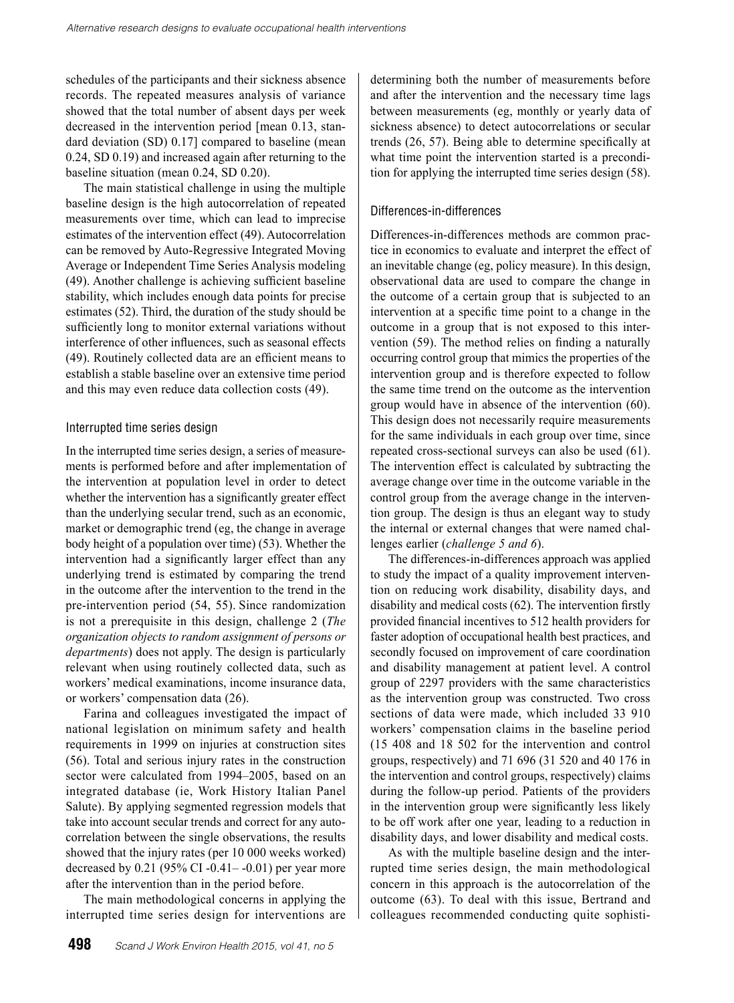schedules of the participants and their sickness absence records. The repeated measures analysis of variance showed that the total number of absent days per week decreased in the intervention period [mean 0.13, standard deviation (SD) 0.17] compared to baseline (mean 0.24, SD 0.19) and increased again after returning to the baseline situation (mean 0.24, SD 0.20).

The main statistical challenge in using the multiple baseline design is the high autocorrelation of repeated measurements over time, which can lead to imprecise estimates of the intervention effect (49). Autocorrelation can be removed by Auto-Regressive Integrated Moving Average or Independent Time Series Analysis modeling (49). Another challenge is achieving sufficient baseline stability, which includes enough data points for precise estimates (52). Third, the duration of the study should be sufficiently long to monitor external variations without interference of other influences, such as seasonal effects (49). Routinely collected data are an efficient means to establish a stable baseline over an extensive time period and this may even reduce data collection costs (49).

#### Interrupted time series design

In the interrupted time series design, a series of measurements is performed before and after implementation of the intervention at population level in order to detect whether the intervention has a significantly greater effect than the underlying secular trend, such as an economic, market or demographic trend (eg, the change in average body height of a population over time) (53). Whether the intervention had a significantly larger effect than any underlying trend is estimated by comparing the trend in the outcome after the intervention to the trend in the pre-intervention period (54, 55). Since randomization is not a prerequisite in this design, challenge 2 (*The organization objects to random assignment of persons or departments*) does not apply. The design is particularly relevant when using routinely collected data, such as workers' medical examinations, income insurance data, or workers' compensation data (26).

Farina and colleagues investigated the impact of national legislation on minimum safety and health requirements in 1999 on injuries at construction sites (56). Total and serious injury rates in the construction sector were calculated from 1994–2005, based on an integrated database (ie, Work History Italian Panel Salute). By applying segmented regression models that take into account secular trends and correct for any autocorrelation between the single observations, the results showed that the injury rates (per 10 000 weeks worked) decreased by  $0.21$  (95% CI -0.41 – -0.01) per year more after the intervention than in the period before.

The main methodological concerns in applying the interrupted time series design for interventions are

determining both the number of measurements before and after the intervention and the necessary time lags between measurements (eg, monthly or yearly data of sickness absence) to detect autocorrelations or secular trends (26, 57). Being able to determine specifically at what time point the intervention started is a precondition for applying the interrupted time series design (58).

## Differences-in-differences

Differences-in-differences methods are common practice in economics to evaluate and interpret the effect of an inevitable change (eg, policy measure). In this design, observational data are used to compare the change in the outcome of a certain group that is subjected to an intervention at a specific time point to a change in the outcome in a group that is not exposed to this intervention (59). The method relies on finding a naturally occurring control group that mimics the properties of the intervention group and is therefore expected to follow the same time trend on the outcome as the intervention group would have in absence of the intervention (60). This design does not necessarily require measurements for the same individuals in each group over time, since repeated cross-sectional surveys can also be used (61). The intervention effect is calculated by subtracting the average change over time in the outcome variable in the control group from the average change in the intervention group. The design is thus an elegant way to study the internal or external changes that were named challenges earlier (*challenge 5 and 6*).

The differences-in-differences approach was applied to study the impact of a quality improvement intervention on reducing work disability, disability days, and disability and medical costs (62). The intervention firstly provided financial incentives to 512 health providers for faster adoption of occupational health best practices, and secondly focused on improvement of care coordination and disability management at patient level. A control group of 2297 providers with the same characteristics as the intervention group was constructed. Two cross sections of data were made, which included 33 910 workers' compensation claims in the baseline period (15 408 and 18 502 for the intervention and control groups, respectively) and 71 696 (31 520 and 40 176 in the intervention and control groups, respectively) claims during the follow-up period. Patients of the providers in the intervention group were significantly less likely to be off work after one year, leading to a reduction in disability days, and lower disability and medical costs.

As with the multiple baseline design and the interrupted time series design, the main methodological concern in this approach is the autocorrelation of the outcome (63). To deal with this issue, Bertrand and colleagues recommended conducting quite sophisti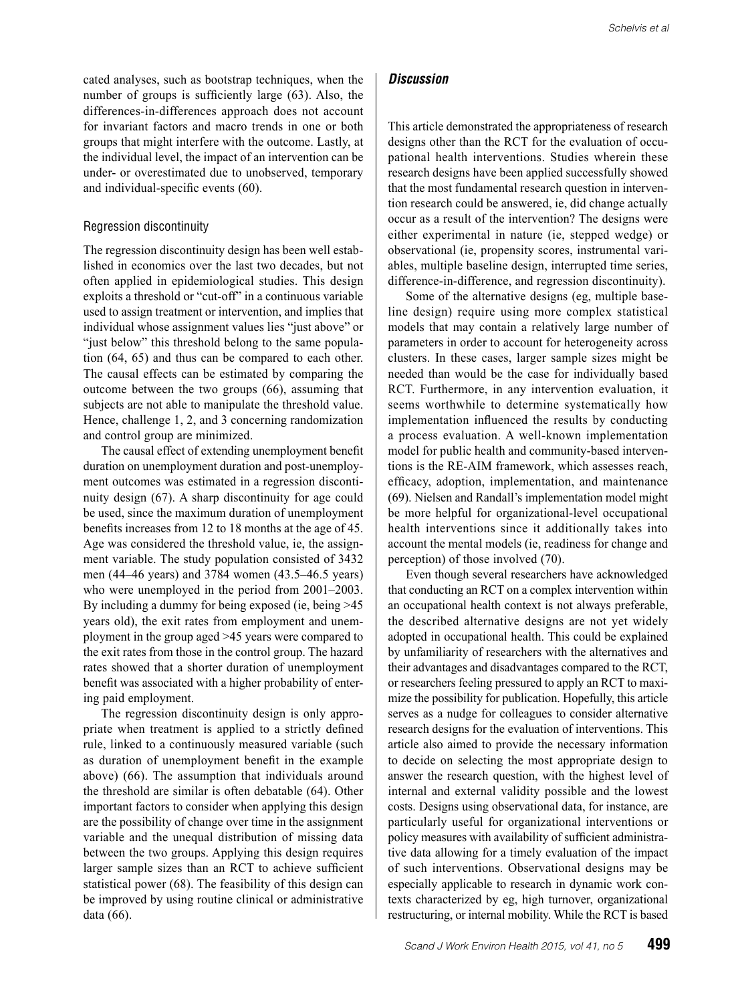cated analyses, such as bootstrap techniques, when the number of groups is sufficiently large (63). Also, the differences-in-differences approach does not account for invariant factors and macro trends in one or both groups that might interfere with the outcome. Lastly, at the individual level, the impact of an intervention can be under- or overestimated due to unobserved, temporary and individual-specific events (60).

#### Regression discontinuity

The regression discontinuity design has been well established in economics over the last two decades, but not often applied in epidemiological studies. This design exploits a threshold or "cut-off" in a continuous variable used to assign treatment or intervention, and implies that individual whose assignment values lies "just above" or "just below" this threshold belong to the same population (64, 65) and thus can be compared to each other. The causal effects can be estimated by comparing the outcome between the two groups (66), assuming that subjects are not able to manipulate the threshold value. Hence, challenge 1, 2, and 3 concerning randomization and control group are minimized.

The causal effect of extending unemployment benefit duration on unemployment duration and post-unemployment outcomes was estimated in a regression discontinuity design (67). A sharp discontinuity for age could be used, since the maximum duration of unemployment benefits increases from 12 to 18 months at the age of 45. Age was considered the threshold value, ie, the assignment variable. The study population consisted of 3432 men (44–46 years) and 3784 women (43.5–46.5 years) who were unemployed in the period from  $2001-2003$ . By including a dummy for being exposed (ie, being >45 years old), the exit rates from employment and unemployment in the group aged >45 years were compared to the exit rates from those in the control group. The hazard rates showed that a shorter duration of unemployment benefit was associated with a higher probability of entering paid employment.

The regression discontinuity design is only appropriate when treatment is applied to a strictly defined rule, linked to a continuously measured variable (such as duration of unemployment benefit in the example above) (66). The assumption that individuals around the threshold are similar is often debatable (64). Other important factors to consider when applying this design are the possibility of change over time in the assignment variable and the unequal distribution of missing data between the two groups. Applying this design requires larger sample sizes than an RCT to achieve sufficient statistical power (68). The feasibility of this design can be improved by using routine clinical or administrative data (66).

#### *Discussion*

This article demonstrated the appropriateness of research designs other than the RCT for the evaluation of occupational health interventions. Studies wherein these research designs have been applied successfully showed that the most fundamental research question in intervention research could be answered, ie, did change actually occur as a result of the intervention? The designs were either experimental in nature (ie, stepped wedge) or observational (ie, propensity scores, instrumental variables, multiple baseline design, interrupted time series, difference-in-difference, and regression discontinuity).

Some of the alternative designs (eg, multiple baseline design) require using more complex statistical models that may contain a relatively large number of parameters in order to account for heterogeneity across clusters. In these cases, larger sample sizes might be needed than would be the case for individually based RCT. Furthermore, in any intervention evaluation, it seems worthwhile to determine systematically how implementation influenced the results by conducting a process evaluation. A well-known implementation model for public health and community-based interventions is the RE-AIM framework, which assesses reach, efficacy, adoption, implementation, and maintenance (69). Nielsen and Randall's implementation model might be more helpful for organizational-level occupational health interventions since it additionally takes into account the mental models (ie, readiness for change and perception) of those involved (70).

Even though several researchers have acknowledged that conducting an RCT on a complex intervention within an occupational health context is not always preferable, the described alternative designs are not yet widely adopted in occupational health. This could be explained by unfamiliarity of researchers with the alternatives and their advantages and disadvantages compared to the RCT, or researchers feeling pressured to apply an RCT to maximize the possibility for publication. Hopefully, this article serves as a nudge for colleagues to consider alternative research designs for the evaluation of interventions. This article also aimed to provide the necessary information to decide on selecting the most appropriate design to answer the research question, with the highest level of internal and external validity possible and the lowest costs. Designs using observational data, for instance, are particularly useful for organizational interventions or policy measures with availability of sufficient administrative data allowing for a timely evaluation of the impact of such interventions. Observational designs may be especially applicable to research in dynamic work contexts characterized by eg, high turnover, organizational restructuring, or internal mobility. While the RCT is based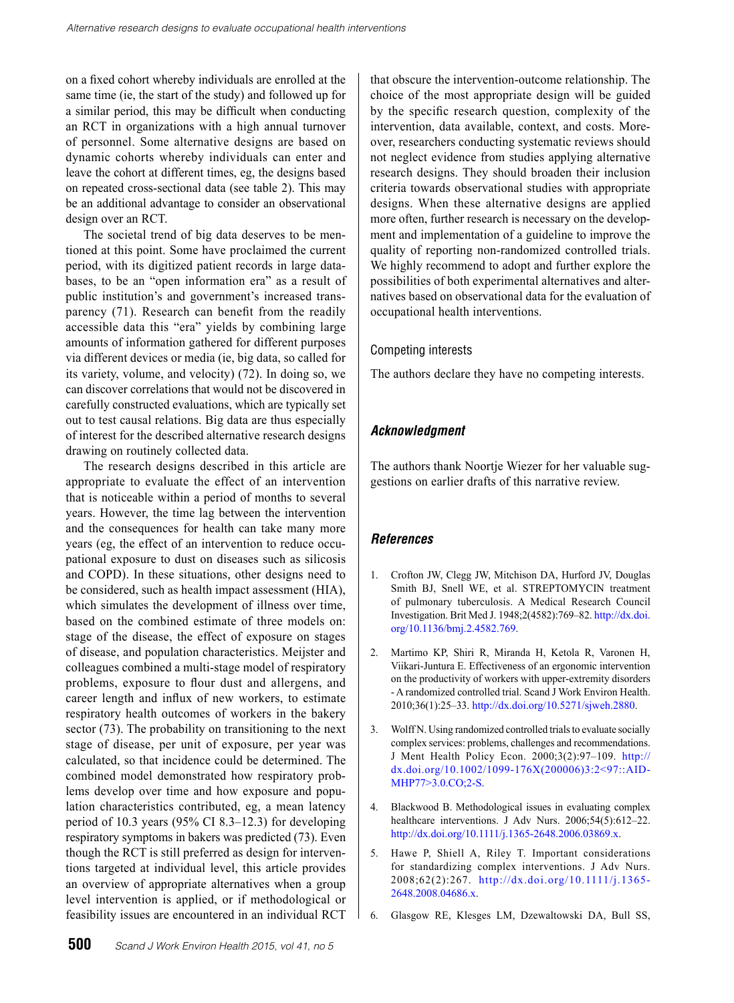on a fixed cohort whereby individuals are enrolled at the same time (ie, the start of the study) and followed up for a similar period, this may be difficult when conducting an RCT in organizations with a high annual turnover of personnel. Some alternative designs are based on dynamic cohorts whereby individuals can enter and leave the cohort at different times, eg, the designs based on repeated cross-sectional data (see table 2). This may be an additional advantage to consider an observational design over an RCT.

The societal trend of big data deserves to be mentioned at this point. Some have proclaimed the current period, with its digitized patient records in large databases, to be an "open information era" as a result of public institution's and government's increased transparency (71). Research can benefit from the readily accessible data this "era" yields by combining large amounts of information gathered for different purposes via different devices or media (ie, big data, so called for its variety, volume, and velocity) (72). In doing so, we can discover correlations that would not be discovered in carefully constructed evaluations, which are typically set out to test causal relations. Big data are thus especially of interest for the described alternative research designs drawing on routinely collected data.

The research designs described in this article are appropriate to evaluate the effect of an intervention that is noticeable within a period of months to several years. However, the time lag between the intervention and the consequences for health can take many more years (eg, the effect of an intervention to reduce occupational exposure to dust on diseases such as silicosis and COPD). In these situations, other designs need to be considered, such as health impact assessment (HIA), which simulates the development of illness over time, based on the combined estimate of three models on: stage of the disease, the effect of exposure on stages of disease, and population characteristics. Meijster and colleagues combined a multi-stage model of respiratory problems, exposure to flour dust and allergens, and career length and influx of new workers, to estimate respiratory health outcomes of workers in the bakery sector (73). The probability on transitioning to the next stage of disease, per unit of exposure, per year was calculated, so that incidence could be determined. The combined model demonstrated how respiratory problems develop over time and how exposure and population characteristics contributed, eg, a mean latency period of 10.3 years (95% CI 8.3–12.3) for developing respiratory symptoms in bakers was predicted (73). Even though the RCT is still preferred as design for interventions targeted at individual level, this article provides an overview of appropriate alternatives when a group level intervention is applied, or if methodological or feasibility issues are encountered in an individual RCT

that obscure the intervention-outcome relationship. The choice of the most appropriate design will be guided by the specific research question, complexity of the intervention, data available, context, and costs. Moreover, researchers conducting systematic reviews should not neglect evidence from studies applying alternative research designs. They should broaden their inclusion criteria towards observational studies with appropriate designs. When these alternative designs are applied more often, further research is necessary on the development and implementation of a guideline to improve the quality of reporting non-randomized controlled trials. We highly recommend to adopt and further explore the possibilities of both experimental alternatives and alternatives based on observational data for the evaluation of occupational health interventions.

## Competing interests

The authors declare they have no competing interests.

# *Acknowledgment*

The authors thank Noortje Wiezer for her valuable suggestions on earlier drafts of this narrative review.

# *References*

- 1. Crofton JW, Clegg JW, Mitchison DA, Hurford JV, Douglas Smith BJ, Snell WE, et al. STREPTOMYCIN treatment of pulmonary tuberculosis. A Medical Research Council Investigation. Brit Med J. 1948;2(4582):769–82. [http://dx.doi.](http://dx.doi.org/10.1136/bmj.2.4582.769) [org/10.1136/bmj.2.4582.769](http://dx.doi.org/10.1136/bmj.2.4582.769).
- 2. Martimo KP, Shiri R, Miranda H, Ketola R, Varonen H, Viikari-Juntura E. Effectiveness of an ergonomic intervention on the productivity of workers with upper-extremity disorders - A randomized controlled trial. Scand J Work Environ Health. 2010;36(1):25–33. <http://dx.doi.org/10.5271/sjweh.2880>.
- 3. Wolff N. Using randomized controlled trials to evaluate socially complex services: problems, challenges and recommendations. J Ment Health Policy Econ. 2000;3(2):97–109. [http://](http://dx.doi.org/10.1002/1099-176X(200006)3:2%3C97::AID-MHP77%3E3.0.CO;2-S) [dx.doi.org/10.1002/1099-176X\(200006\)3:2<97::AID-](http://dx.doi.org/10.1002/1099-176X(200006)3:2%3C97::AID-MHP77%3E3.0.CO;2-S)[MHP77>3.0.CO;2-S](http://dx.doi.org/10.1002/1099-176X(200006)3:2%3C97::AID-MHP77%3E3.0.CO;2-S).
- 4. Blackwood B. Methodological issues in evaluating complex healthcare interventions. J Adv Nurs. 2006;54(5):612-22. <http://dx.doi.org/10.1111/j.1365-2648.2006.03869.x>.
- 5. Hawe P, Shiell A, Riley T. Important considerations for standardizing complex interventions. J Adv Nurs. 2008;62(2):267. [http://dx.doi.org/10.1111/j.1365-](http://dx.doi.org/10.1111/j.1365-2648.2008.04686.x) [2648.2008.04686.x](http://dx.doi.org/10.1111/j.1365-2648.2008.04686.x).
- 6. Glasgow RE, Klesges LM, Dzewaltowski DA, Bull SS,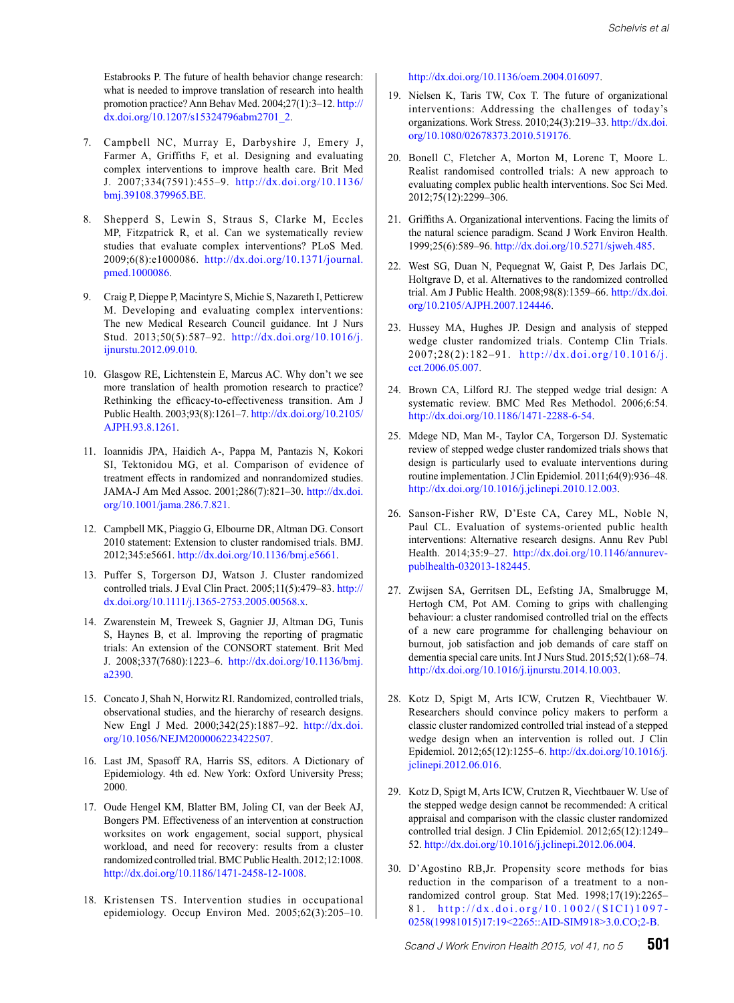Estabrooks P. The future of health behavior change research: what is needed to improve translation of research into health promotion practice? Ann Behav Med. 2004;27(1):3–12. [http://](http://dx.doi.org/10.1207/s15324796abm2701_2) [dx.doi.org/10.1207/s15324796abm2701\\_2](http://dx.doi.org/10.1207/s15324796abm2701_2).

- 7. Campbell NC, Murray E, Darbyshire J, Emery J, Farmer A, Griffiths F, et al. Designing and evaluating complex interventions to improve health care. Brit Med J. 2007;334(7591):455–9. [http://dx.doi.org/10.1136/](http://dx.doi.org/10.1136/bmj.39108.379965.BE. 
) [bmj.39108.379965.BE.](http://dx.doi.org/10.1136/bmj.39108.379965.BE. 
)
- 8. Shepperd S, Lewin S, Straus S, Clarke M, Eccles MP, Fitzpatrick R, et al. Can we systematically review studies that evaluate complex interventions? PLoS Med. 2009;6(8):e1000086. [http://dx.doi.org/10.1371/journal.](http://dx.doi.org/10.1371/journal.pmed.1000086) [pmed.1000086](http://dx.doi.org/10.1371/journal.pmed.1000086).
- 9. Craig P, Dieppe P, Macintyre S, Michie S, Nazareth I, Petticrew M. Developing and evaluating complex interventions: The new Medical Research Council guidance. Int J Nurs Stud. 2013;50(5):587–92. [http://dx.doi.org/10.1016/j.](http://dx.doi.org/10.1016/j.ijnurstu.2012.09.010) [ijnurstu.2012.09.010](http://dx.doi.org/10.1016/j.ijnurstu.2012.09.010).
- 10. Glasgow RE, Lichtenstein E, Marcus AC. Why don't we see more translation of health promotion research to practice? Rethinking the efficacy-to-effectiveness transition. Am J Public Health. 2003;93(8):1261–7. [http://dx.doi.org/10.2105/](http://dx.doi.org/10.2105/AJPH.93.8.1261) [AJPH.93.8.1261](http://dx.doi.org/10.2105/AJPH.93.8.1261).
- 11. Ioannidis JPA, Haidich A-, Pappa M, Pantazis N, Kokori SI, Tektonidou MG, et al. Comparison of evidence of treatment effects in randomized and nonrandomized studies. JAMA-J Am Med Assoc. 2001;286(7):821–30. [http://dx.doi.](http://dx.doi.org/10.1001/jama.286.7.821) [org/10.1001/jama.286.7.821](http://dx.doi.org/10.1001/jama.286.7.821).
- 12. Campbell MK, Piaggio G, Elbourne DR, Altman DG. Consort 2010 statement: Extension to cluster randomised trials. BMJ. 2012;345:e5661. <http://dx.doi.org/10.1136/bmj.e5661>.
- 13. Puffer S, Torgerson DJ, Watson J. Cluster randomized controlled trials. J Eval Clin Pract. 2005;11(5):479–83. [http://](http://dx.doi.org/10.1111/j.1365-2753.2005.00568.x) [dx.doi.org/10.1111/j.1365-2753.2005.00568.x](http://dx.doi.org/10.1111/j.1365-2753.2005.00568.x).
- 14. Zwarenstein M, Treweek S, Gagnier JJ, Altman DG, Tunis S, Haynes B, et al. Improving the reporting of pragmatic trials: An extension of the CONSORT statement. Brit Med J. 2008;337(7680):1223–6. [http://dx.doi.org/10.1136/bmj.](http://dx.doi.org/10.1136/bmj.a2390) [a2390](http://dx.doi.org/10.1136/bmj.a2390).
- 15. Concato J, Shah N, Horwitz RI. Randomized, controlled trials, observational studies, and the hierarchy of research designs. New Engl J Med. 2000;342(25):1887–92. [http://dx.doi.](http://dx.doi.org/10.1056/NEJM200006223422507) [org/10.1056/NEJM200006223422507](http://dx.doi.org/10.1056/NEJM200006223422507).
- 16. Last JM, Spasoff RA, Harris SS, editors. A Dictionary of Epidemiology. 4th ed. New York: Oxford University Press; 2000.
- 17. Oude Hengel KM, Blatter BM, Joling CI, van der Beek AJ, Bongers PM. Effectiveness of an intervention at construction worksites on work engagement, social support, physical workload, and need for recovery: results from a cluster randomized controlled trial. BMC Public Health. 2012;12:1008. <http://dx.doi.org/10.1186/1471-2458-12-1008>.
- 18. Kristensen TS. Intervention studies in occupational epidemiology. Occup Environ Med. 2005;62(3):205–10.

<http://dx.doi.org/10.1136/oem.2004.016097>.

- 19. Nielsen K, Taris TW, Cox T. The future of organizational interventions: Addressing the challenges of today's organizations. Work Stress. 2010;24(3):219–33. [http://dx.doi.](http://dx.doi.org/10.1080/02678373.2010.519176) [org/10.1080/02678373.2010.519176](http://dx.doi.org/10.1080/02678373.2010.519176).
- 20. Bonell C, Fletcher A, Morton M, Lorenc T, Moore L. Realist randomised controlled trials: A new approach to evaluating complex public health interventions. Soc Sci Med. 2012;75(12):2299–306.
- 21. Griffiths A. Organizational interventions. Facing the limits of the natural science paradigm. Scand J Work Environ Health. 1999;25(6):589–96.<http://dx.doi.org/10.5271/sjweh.485>.
- 22. West SG, Duan N, Pequegnat W, Gaist P, Des Jarlais DC, Holtgrave D, et al. Alternatives to the randomized controlled trial. Am J Public Health. 2008;98(8):1359–66. [http://dx.doi.](http://dx.doi.org/10.2105/AJPH.2007.124446) [org/10.2105/AJPH.2007.124446](http://dx.doi.org/10.2105/AJPH.2007.124446).
- 23. Hussey MA, Hughes JP. Design and analysis of stepped wedge cluster randomized trials. Contemp Clin Trials. 2007;28(2):182–91. [http://dx.doi.org/10.1016/j.](http://dx.doi.org/10.1016/j.cct.2006.05.007) [cct.2006.05.007](http://dx.doi.org/10.1016/j.cct.2006.05.007).
- 24. Brown CA, Lilford RJ. The stepped wedge trial design: A systematic review. BMC Med Res Methodol. 2006;6:54. <http://dx.doi.org/10.1186/1471-2288-6-54>.
- 25. Mdege ND, Man M-, Taylor CA, Torgerson DJ. Systematic review of stepped wedge cluster randomized trials shows that design is particularly used to evaluate interventions during routine implementation. J Clin Epidemiol. 2011;64(9):936–48. <http://dx.doi.org/10.1016/j.jclinepi.2010.12.003>.
- 26. Sanson-Fisher RW, D'Este CA, Carey ML, Noble N, Paul CL. Evaluation of systems-oriented public health interventions: Alternative research designs. Annu Rev Publ Health. 2014;35:9–27. [http://dx.doi.org/10.1146/annurev](http://dx.doi.org/10.1146/annurev-publhealth-032013-182445)[publhealth-032013-182445](http://dx.doi.org/10.1146/annurev-publhealth-032013-182445).
- 27. Zwijsen SA, Gerritsen DL, Eefsting JA, Smalbrugge M, Hertogh CM, Pot AM. Coming to grips with challenging behaviour: a cluster randomised controlled trial on the effects of a new care programme for challenging behaviour on burnout, job satisfaction and job demands of care staff on dementia special care units. Int J Nurs Stud. 2015;52(1):68–74. <http://dx.doi.org/10.1016/j.ijnurstu.2014.10.003>.
- 28. Kotz D, Spigt M, Arts ICW, Crutzen R, Viechtbauer W. Researchers should convince policy makers to perform a classic cluster randomized controlled trial instead of a stepped wedge design when an intervention is rolled out. J Clin Epidemiol. 2012;65(12):1255–6. [http://dx.doi.org/10.1016/j.](http://dx.doi.org/10.1016/j.jclinepi.2012.06.016) [jclinepi.2012.06.016](http://dx.doi.org/10.1016/j.jclinepi.2012.06.016).
- 29. Kotz D, Spigt M, Arts ICW, Crutzen R, Viechtbauer W. Use of the stepped wedge design cannot be recommended: A critical appraisal and comparison with the classic cluster randomized controlled trial design. J Clin Epidemiol. 2012;65(12):1249– 52. <http://dx.doi.org/10.1016/j.jclinepi.2012.06.004>.
- 30. D'Agostino RB,Jr. Propensity score methods for bias reduction in the comparison of a treatment to a nonrandomized control group. Stat Med. 1998;17(19):2265– 81. [http://dx.doi.org/10.1002/\(SICI\)1097-](http://dx.doi.org/10.1002/(SICI)1097-0258(19981015)17:19%3C2265::AID-SIM918%3E3.0.CO;2-B) [0258\(19981015\)17:19<2265::AID-SIM918>3.0.CO;2-B](http://dx.doi.org/10.1002/(SICI)1097-0258(19981015)17:19%3C2265::AID-SIM918%3E3.0.CO;2-B).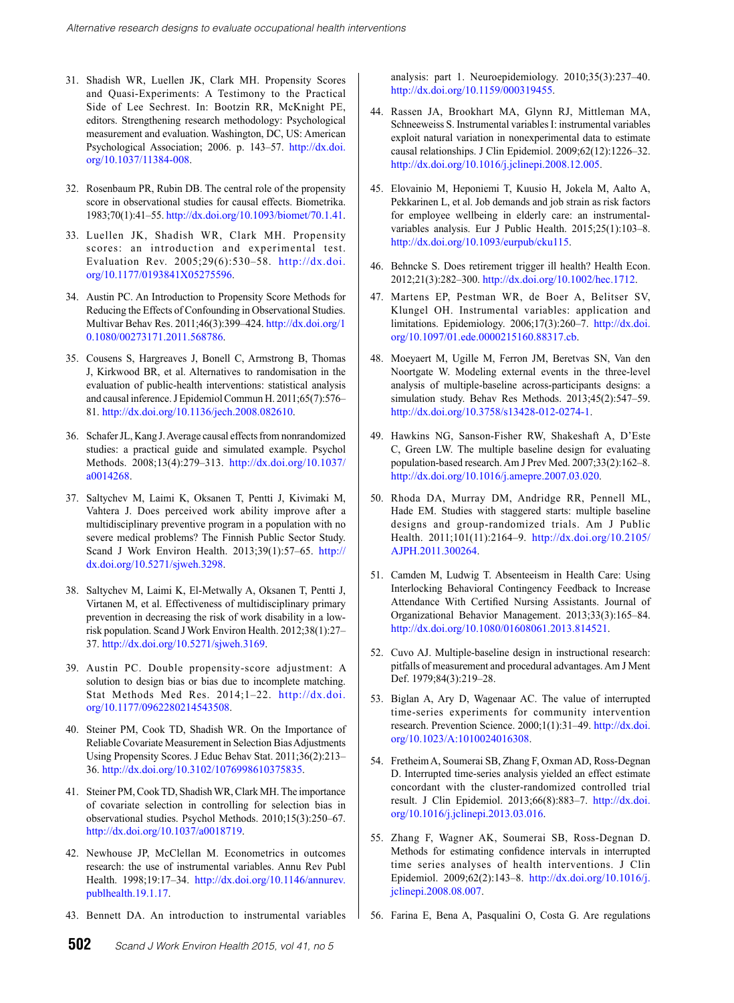- 31. Shadish WR, Luellen JK, Clark MH. Propensity Scores and Quasi-Experiments: A Testimony to the Practical Side of Lee Sechrest. In: Bootzin RR, McKnight PE, editors. Strengthening research methodology: Psychological measurement and evaluation. Washington, DC, US: American Psychological Association; 2006. p. 143–57. [http://dx.doi.](http://dx.doi.org/10.1037/11384-008) [org/10.1037/11384-008](http://dx.doi.org/10.1037/11384-008).
- 32. Rosenbaum PR, Rubin DB. The central role of the propensity score in observational studies for causal effects. Biometrika. 1983;70(1):41–55.<http://dx.doi.org/10.1093/biomet/70.1.41>.
- 33. Luellen JK, Shadish WR, Clark MH. Propensity scores: an introduction and experimental test. Evaluation Rev. 2005;29(6):530–58. [http://dx.doi.](http://dx.doi.org/10.1177/0193841X05275596) [org/10.1177/0193841X05275596](http://dx.doi.org/10.1177/0193841X05275596).
- 34. Austin PC. An Introduction to Propensity Score Methods for Reducing the Effects of Confounding in Observational Studies. Multivar Behav Res. 2011;46(3):399–424. [http://dx.doi.org/1](http://dx.doi.org/10.1080/00273171.2011.568786) [0.1080/00273171.2011.568786](http://dx.doi.org/10.1080/00273171.2011.568786).
- 35. Cousens S, Hargreaves J, Bonell C, Armstrong B, Thomas J, Kirkwood BR, et al. Alternatives to randomisation in the evaluation of public-health interventions: statistical analysis and causal inference. J Epidemiol Commun H. 2011;65(7):576– 81.<http://dx.doi.org/10.1136/jech.2008.082610>.
- 36. Schafer JL, Kang J. Average causal effects from nonrandomized studies: a practical guide and simulated example. Psychol Methods. 2008;13(4):279–313. [http://dx.doi.org/10.1037/](http://dx.doi.org/10.1037/a0014268) [a0014268](http://dx.doi.org/10.1037/a0014268).
- 37. Saltychev M, Laimi K, Oksanen T, Pentti J, Kivimaki M, Vahtera J. Does perceived work ability improve after a multidisciplinary preventive program in a population with no severe medical problems? The Finnish Public Sector Study. Scand J Work Environ Health. 2013;39(1):57–65. [http://](http://dx.doi.org/10.5271/sjweh.3298) [dx.doi.org/10.5271/sjweh.3298](http://dx.doi.org/10.5271/sjweh.3298).
- 38. Saltychev M, Laimi K, El-Metwally A, Oksanen T, Pentti J, Virtanen M, et al. Effectiveness of multidisciplinary primary prevention in decreasing the risk of work disability in a lowrisk population. Scand J Work Environ Health. 2012;38(1):27– 37.<http://dx.doi.org/10.5271/sjweh.3169>.
- 39. Austin PC. Double propensity-score adjustment: A solution to design bias or bias due to incomplete matching. Stat Methods Med Res. 2014;1–22. [http://dx.doi.](http://dx.doi.org/10.1177/0962280214543508) [org/10.1177/0962280214543508](http://dx.doi.org/10.1177/0962280214543508).
- 40. Steiner PM, Cook TD, Shadish WR. On the Importance of Reliable Covariate Measurement in Selection Bias Adjustments Using Propensity Scores. J Educ Behav Stat. 2011;36(2):213– 36.<http://dx.doi.org/10.3102/1076998610375835>.
- 41. Steiner PM, Cook TD, Shadish WR, Clark MH. The importance of covariate selection in controlling for selection bias in observational studies. Psychol Methods. 2010;15(3):250–67. <http://dx.doi.org/10.1037/a0018719>.
- 42. Newhouse JP, McClellan M. Econometrics in outcomes research: the use of instrumental variables. Annu Rev Publ Health. 1998;19:17–34. [http://dx.doi.org/10.1146/annurev.](http://dx.doi.org/10.1146/annurev.publhealth.19.1.17) [publhealth.19.1.17](http://dx.doi.org/10.1146/annurev.publhealth.19.1.17).
- 43. Bennett DA. An introduction to instrumental variables

analysis: part 1. Neuroepidemiology. 2010;35(3):237–40. <http://dx.doi.org/10.1159/000319455>.

- 44. Rassen JA, Brookhart MA, Glynn RJ, Mittleman MA, Schneeweiss S. Instrumental variables I: instrumental variables exploit natural variation in nonexperimental data to estimate causal relationships. J Clin Epidemiol. 2009;62(12):1226–32. <http://dx.doi.org/10.1016/j.jclinepi.2008.12.005>.
- 45. Elovainio M, Heponiemi T, Kuusio H, Jokela M, Aalto A, Pekkarinen L, et al. Job demands and job strain as risk factors for employee wellbeing in elderly care: an instrumentalvariables analysis. Eur J Public Health. 2015;25(1):103–8. <http://dx.doi.org/10.1093/eurpub/cku115>.
- 46. Behncke S. Does retirement trigger ill health? Health Econ. 2012;21(3):282–300. <http://dx.doi.org/10.1002/hec.1712>.
- 47. Martens EP, Pestman WR, de Boer A, Belitser SV, Klungel OH. Instrumental variables: application and limitations. Epidemiology. 2006;17(3):260–7. [http://dx.doi.](http://dx.doi.org/10.1097/01.ede.0000215160.88317.cb) [org/10.1097/01.ede.0000215160.88317.cb](http://dx.doi.org/10.1097/01.ede.0000215160.88317.cb).
- 48. Moeyaert M, Ugille M, Ferron JM, Beretvas SN, Van den Noortgate W. Modeling external events in the three-level analysis of multiple-baseline across-participants designs: a simulation study. Behav Res Methods. 2013;45(2):547–59. <http://dx.doi.org/10.3758/s13428-012-0274-1>.
- 49. Hawkins NG, Sanson-Fisher RW, Shakeshaft A, D'Este C, Green LW. The multiple baseline design for evaluating population-based research. Am J Prev Med. 2007;33(2):162–8. <http://dx.doi.org/10.1016/j.amepre.2007.03.020>.
- 50. Rhoda DA, Murray DM, Andridge RR, Pennell ML, Hade EM. Studies with staggered starts: multiple baseline designs and group-randomized trials. Am J Public Health. 2011;101(11):2164–9. [http://dx.doi.org/10.2105/](http://dx.doi.org/10.2105/AJPH.2011.300264) [AJPH.2011.300264](http://dx.doi.org/10.2105/AJPH.2011.300264).
- 51. Camden M, Ludwig T. Absenteeism in Health Care: Using Interlocking Behavioral Contingency Feedback to Increase Attendance With Certified Nursing Assistants. Journal of Organizational Behavior Management. 2013;33(3):165–84. <http://dx.doi.org/10.1080/01608061.2013.814521>.
- 52. Cuvo AJ. Multiple-baseline design in instructional research: pitfalls of measurement and procedural advantages. Am J Ment Def. 1979;84(3):219–28.
- 53. Biglan A, Ary D, Wagenaar AC. The value of interrupted time-series experiments for community intervention research. Prevention Science. 2000;1(1):31–49. [http://dx.doi.](http://dx.doi.org/10.1023/A:1010024016308) [org/10.1023/A:1010024016308](http://dx.doi.org/10.1023/A:1010024016308).
- 54. Fretheim A, Soumerai SB, Zhang F, Oxman AD, Ross-Degnan D. Interrupted time-series analysis yielded an effect estimate concordant with the cluster-randomized controlled trial result. J Clin Epidemiol. 2013;66(8):883–7. [http://dx.doi.](http://dx.doi.org/10.1016/j.jclinepi.2013.03.016) [org/10.1016/j.jclinepi.2013.03.016](http://dx.doi.org/10.1016/j.jclinepi.2013.03.016).
- 55. Zhang F, Wagner AK, Soumerai SB, Ross-Degnan D. Methods for estimating confidence intervals in interrupted time series analyses of health interventions. J Clin Epidemiol. 2009;62(2):143–8. [http://dx.doi.org/10.1016/j.](http://dx.doi.org/10.1016/j.jclinepi.2008.08.007) [jclinepi.2008.08.007](http://dx.doi.org/10.1016/j.jclinepi.2008.08.007).
- 56. Farina E, Bena A, Pasqualini O, Costa G. Are regulations